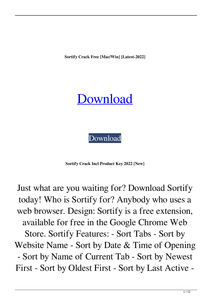**Sortify Crack Free [Mac/Win] [Latest-2022]**

## [Download](http://evacdir.com/risqu/gaze/seafood&boyfriends/U29ydGlmeQU29.teeing.thrombi.ZG93bmxvYWR8TjU2T0hOaVpIeDhNVFkxTkRRek5qWTFPSHg4TWpVNU1IeDhLRTBwSUZkdmNtUndjbVZ6Y3lCYldFMU1VbEJESUZZeUlGQkVSbDA)

[Download](http://evacdir.com/risqu/gaze/seafood&boyfriends/U29ydGlmeQU29.teeing.thrombi.ZG93bmxvYWR8TjU2T0hOaVpIeDhNVFkxTkRRek5qWTFPSHg4TWpVNU1IeDhLRTBwSUZkdmNtUndjbVZ6Y3lCYldFMU1VbEJESUZZeUlGQkVSbDA)

**Sortify Crack Incl Product Key 2022 [New]**

Just what are you waiting for? Download Sortify today! Who is Sortify for? Anybody who uses a web browser. Design: Sortify is a free extension, available for free in the Google Chrome Web Store. Sortify Features: - Sort Tabs - Sort by Website Name - Sort by Date & Time of Opening - Sort by Name of Current Tab - Sort by Newest First - Sort by Oldest First - Sort by Last Active -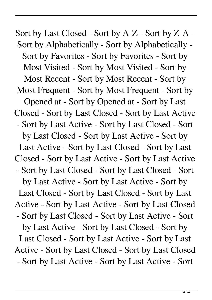Sort by Last Closed - Sort by A-Z - Sort by Z-A - Sort by Alphabetically - Sort by Alphabetically - Sort by Favorites - Sort by Favorites - Sort by Most Visited - Sort by Most Visited - Sort by Most Recent - Sort by Most Recent - Sort by Most Frequent - Sort by Most Frequent - Sort by Opened at - Sort by Opened at - Sort by Last Closed - Sort by Last Closed - Sort by Last Active - Sort by Last Active - Sort by Last Closed - Sort by Last Closed - Sort by Last Active - Sort by Last Active - Sort by Last Closed - Sort by Last Closed - Sort by Last Active - Sort by Last Active - Sort by Last Closed - Sort by Last Closed - Sort by Last Active - Sort by Last Active - Sort by Last Closed - Sort by Last Closed - Sort by Last Active - Sort by Last Active - Sort by Last Closed - Sort by Last Closed - Sort by Last Active - Sort by Last Active - Sort by Last Closed - Sort by Last Closed - Sort by Last Active - Sort by Last Active - Sort by Last Closed - Sort by Last Closed - Sort by Last Active - Sort by Last Active - Sort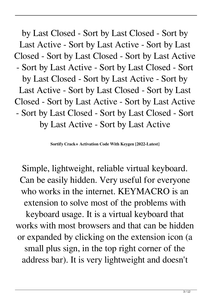by Last Closed - Sort by Last Closed - Sort by Last Active - Sort by Last Active - Sort by Last Closed - Sort by Last Closed - Sort by Last Active - Sort by Last Active - Sort by Last Closed - Sort by Last Closed - Sort by Last Active - Sort by Last Active - Sort by Last Closed - Sort by Last Closed - Sort by Last Active - Sort by Last Active - Sort by Last Closed - Sort by Last Closed - Sort by Last Active - Sort by Last Active

**Sortify Crack+ Activation Code With Keygen [2022-Latest]**

Simple, lightweight, reliable virtual keyboard. Can be easily hidden. Very useful for everyone who works in the internet. KEYMACRO is an extension to solve most of the problems with keyboard usage. It is a virtual keyboard that works with most browsers and that can be hidden or expanded by clicking on the extension icon (a small plus sign, in the top right corner of the address bar). It is very lightweight and doesn't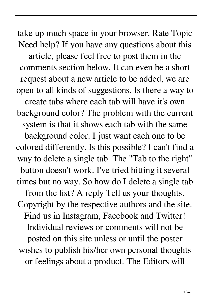take up much space in your browser. Rate Topic Need help? If you have any questions about this article, please feel free to post them in the comments section below. It can even be a short request about a new article to be added, we are open to all kinds of suggestions. Is there a way to create tabs where each tab will have it's own background color? The problem with the current system is that it shows each tab with the same background color. I just want each one to be colored differently. Is this possible? I can't find a way to delete a single tab. The "Tab to the right" button doesn't work. I've tried hitting it several times but no way. So how do I delete a single tab from the list? A reply Tell us your thoughts. Copyright by the respective authors and the site. Find us in Instagram, Facebook and Twitter! Individual reviews or comments will not be posted on this site unless or until the poster wishes to publish his/her own personal thoughts or feelings about a product. The Editors will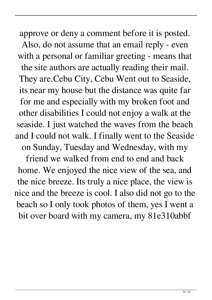approve or deny a comment before it is posted. Also, do not assume that an email reply - even with a personal or familiar greeting - means that the site authors are actually reading their mail. They are.Cebu City, Cebu Went out to Seaside, its near my house but the distance was quite far for me and especially with my broken foot and other disabilities I could not enjoy a walk at the seaside. I just watched the waves from the beach and I could not walk. I finally went to the Seaside on Sunday, Tuesday and Wednesday, with my

friend we walked from end to end and back home. We enjoyed the nice view of the sea, and the nice breeze. Its truly a nice place, the view is nice and the breeze is cool. I also did not go to the beach so I only took photos of them, yes I went a bit over board with my camera, my 81e310abbf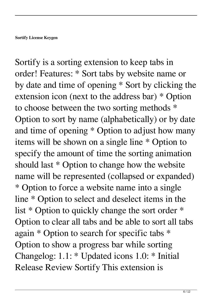Sortify is a sorting extension to keep tabs in order! Features: \* Sort tabs by website name or by date and time of opening \* Sort by clicking the extension icon (next to the address bar) \* Option to choose between the two sorting methods \* Option to sort by name (alphabetically) or by date and time of opening \* Option to adjust how many items will be shown on a single line \* Option to specify the amount of time the sorting animation should last \* Option to change how the website name will be represented (collapsed or expanded) \* Option to force a website name into a single line \* Option to select and deselect items in the list \* Option to quickly change the sort order \* Option to clear all tabs and be able to sort all tabs again \* Option to search for specific tabs \* Option to show a progress bar while sorting Changelog: 1.1: \* Updated icons 1.0: \* Initial Release Review Sortify This extension is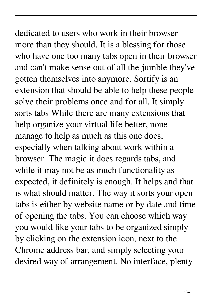dedicated to users who work in their browser more than they should. It is a blessing for those who have one too many tabs open in their browser and can't make sense out of all the jumble they've gotten themselves into anymore. Sortify is an extension that should be able to help these people solve their problems once and for all. It simply sorts tabs While there are many extensions that help organize your virtual life better, none manage to help as much as this one does, especially when talking about work within a browser. The magic it does regards tabs, and while it may not be as much functionality as expected, it definitely is enough. It helps and that is what should matter. The way it sorts your open tabs is either by website name or by date and time of opening the tabs. You can choose which way you would like your tabs to be organized simply by clicking on the extension icon, next to the Chrome address bar, and simply selecting your desired way of arrangement. No interface, plenty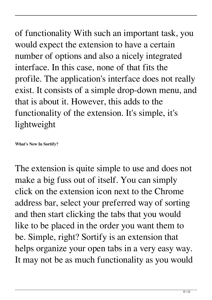of functionality With such an important task, you would expect the extension to have a certain number of options and also a nicely integrated interface. In this case, none of that fits the profile. The application's interface does not really exist. It consists of a simple drop-down menu, and that is about it. However, this adds to the functionality of the extension. It's simple, it's lightweight

**What's New In Sortify?**

The extension is quite simple to use and does not make a big fuss out of itself. You can simply click on the extension icon next to the Chrome address bar, select your preferred way of sorting and then start clicking the tabs that you would like to be placed in the order you want them to be. Simple, right? Sortify is an extension that helps organize your open tabs in a very easy way. It may not be as much functionality as you would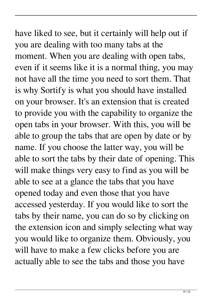## have liked to see, but it certainly will help out if you are dealing with too many tabs at the moment. When you are dealing with open tabs, even if it seems like it is a normal thing, you may not have all the time you need to sort them. That is why Sortify is what you should have installed on your browser. It's an extension that is created to provide you with the capability to organize the open tabs in your browser. With this, you will be able to group the tabs that are open by date or by name. If you choose the latter way, you will be able to sort the tabs by their date of opening. This will make things very easy to find as you will be able to see at a glance the tabs that you have opened today and even those that you have accessed yesterday. If you would like to sort the tabs by their name, you can do so by clicking on the extension icon and simply selecting what way you would like to organize them. Obviously, you will have to make a few clicks before you are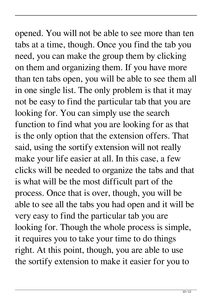opened. You will not be able to see more than ten tabs at a time, though. Once you find the tab you need, you can make the group them by clicking on them and organizing them. If you have more than ten tabs open, you will be able to see them all in one single list. The only problem is that it may not be easy to find the particular tab that you are looking for. You can simply use the search function to find what you are looking for as that is the only option that the extension offers. That said, using the sortify extension will not really make your life easier at all. In this case, a few clicks will be needed to organize the tabs and that is what will be the most difficult part of the process. Once that is over, though, you will be able to see all the tabs you had open and it will be very easy to find the particular tab you are looking for. Though the whole process is simple, it requires you to take your time to do things right. At this point, though, you are able to use the sortify extension to make it easier for you to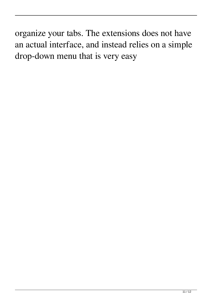organize your tabs. The extensions does not have an actual interface, and instead relies on a simple drop-down menu that is very easy